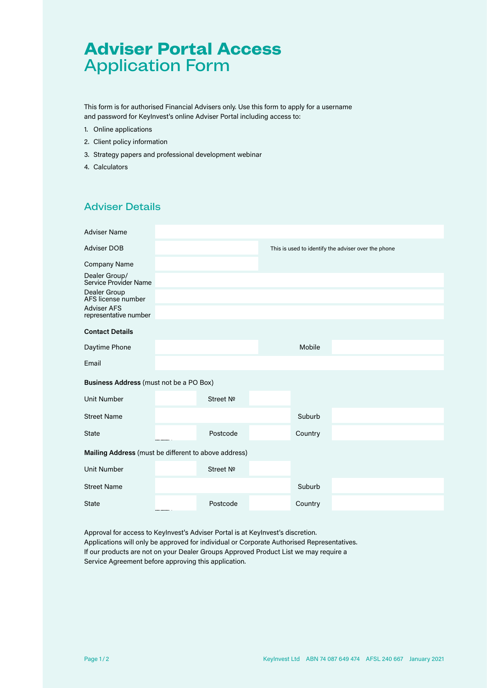# **Adviser Portal Access** Application Form

This form is for authorised Financial Advisers only. Use this form to apply for a username and password for KeyInvest's online Adviser Portal including access to:

- 1. Online applications
- 2. Client policy information
- 3. Strategy papers and professional development webinar
- 4. Calculators

## Adviser Details

|                                                      | This is used to identify the adviser over the phone |
|------------------------------------------------------|-----------------------------------------------------|
|                                                      |                                                     |
|                                                      |                                                     |
|                                                      |                                                     |
|                                                      |                                                     |
|                                                      |                                                     |
|                                                      | Mobile                                              |
|                                                      |                                                     |
| Business Address (must not be a PO Box)              |                                                     |
| Street Nº                                            |                                                     |
|                                                      | Suburb                                              |
| Postcode                                             | Country                                             |
| Mailing Address (must be different to above address) |                                                     |
| Street Nº                                            |                                                     |
|                                                      | Suburb                                              |
| Postcode                                             | Country                                             |
|                                                      |                                                     |

Approval for access to KeyInvest's Adviser Portal is at KeyInvest's discretion. Applications will only be approved for individual or Corporate Authorised Representatives. If our products are not on your Dealer Groups Approved Product List we may require a Service Agreement before approving this application.